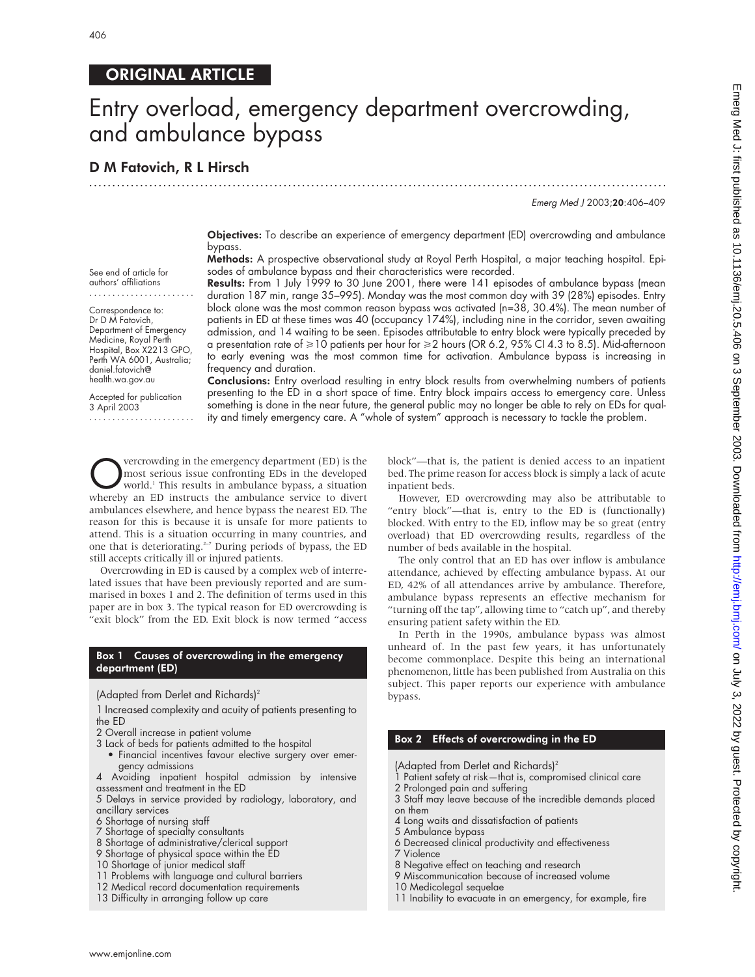# ORIGINAL ARTICLE

# Entry overload, emergency department overcrowding, and ambulance bypass

# D M Fatovich, R L Hirsch

Emerg Med J 2003;20:406–409

Objectives: To describe an experience of emergency department (ED) overcrowding and ambulance bypass.

.............................................................................................................................

Methods: A prospective observational study at Royal Perth Hospital, a major teaching hospital. Episodes of ambulance bypass and their characteristics were recorded.

See end of article for authors' affiliations

....................... Correspondence to:

Dr D M Fatovich, Department of Emergency Medicine, Royal Perth Hospital, Box X2213 GPO, Perth WA 6001, Australia; daniel.fatovich@ health.wa.gov.au

Accepted for publication 3 April 2003

.......................

Results: From 1 July 1999 to 30 June 2001, there were 141 episodes of ambulance bypass (mean duration 187 min, range 35–995). Monday was the most common day with 39 (28%) episodes. Entry block alone was the most common reason bypass was activated (n=38, 30.4%). The mean number of patients in ED at these times was 40 (occupancy 174%), including nine in the corridor, seven awaiting admission, and 14 waiting to be seen. Episodes attributable to entry block were typically preceded by a presentation rate of  $\geq 10$  patients per hour for  $\geq 2$  hours (OR 6.2, 95% CI 4.3 to 8.5). Mid-afternoon to early evening was the most common time for activation. Ambulance bypass is increasing in frequency and duration.

Conclusions: Entry overload resulting in entry block results from overwhelming numbers of patients presenting to the ED in a short space of time. Entry block impairs access to emergency care. Unless something is done in the near future, the general public may no longer be able to rely on EDs for quality and timely emergency care. A "whole of system" approach is necessary to tackle the problem.

**OVERGO SET ASSEM** SERVICED SUPPOSED WORK WAS NOT WORK WATER WORK A STREAM WORK OF THE EXPLORENCE WAS A SITUATION WHEN THE INSTITUTE THE INSTITUTE THE INSTITUTE THE STREAM WAS A SITUATED FOR THE UPPOSED SERVICE A SIMPLE ST most serious issue confronting EDs in the developed world.1 This results in ambulance bypass, a situation whereby an ED instructs the ambulance service to divert ambulances elsewhere, and hence bypass the nearest ED. The reason for this is because it is unsafe for more patients to attend. This is a situation occurring in many countries, and one that is deteriorating. $2-7$  During periods of bypass, the ED still accepts critically ill or injured patients.

Overcrowding in ED is caused by a complex web of interrelated issues that have been previously reported and are summarised in boxes 1 and 2. The definition of terms used in this paper are in box 3. The typical reason for ED overcrowding is "exit block" from the ED. Exit block is now termed "access

#### Box 1 Causes of overcrowding in the emergency department (ED)

(Adapted from Derlet and Richards)2

1 Increased complexity and acuity of patients presenting to the ED

- 2 Overall increase in patient volume
- 3 Lack of beds for patients admitted to the hospital
- Financial incentives favour elective surgery over emergency admissions
- 4 Avoiding inpatient hospital admission by intensive assessment and treatment in the ED

5 Delays in service provided by radiology, laboratory, and ancillary services

- 6 Shortage of nursing staff
- 7 Shortage of specialty consultants
- 8 Shortage of administrative/clerical support
- 9 Shortage of physical space within the ED
- 10 Shortage of junior medical staff
- 11 Problems with language and cultural barriers
- 12 Medical record documentation requirements
- 13 Difficulty in arranging follow up care

block"—that is, the patient is denied access to an inpatient bed. The prime reason for access block is simply a lack of acute inpatient beds.

However, ED overcrowding may also be attributable to "entry block"—that is, entry to the ED is (functionally) blocked. With entry to the ED, inflow may be so great (entry overload) that ED overcrowding results, regardless of the number of beds available in the hospital.

The only control that an ED has over inflow is ambulance attendance, achieved by effecting ambulance bypass. At our ED, 42% of all attendances arrive by ambulance. Therefore, ambulance bypass represents an effective mechanism for "turning off the tap", allowing time to "catch up", and thereby ensuring patient safety within the ED.

In Perth in the 1990s, ambulance bypass was almost unheard of. In the past few years, it has unfortunately become commonplace. Despite this being an international phenomenon, little has been published from Australia on this subject. This paper reports our experience with ambulance bypass.

### Box 2 Effects of overcrowding in the ED

(Adapted from Derlet and Richards)2

- 1 Patient safety at risk—that is, compromised clinical care
- 2 Prolonged pain and suffering
- 3 Staff may leave because of the incredible demands placed on them
- 4 Long waits and dissatisfaction of patients
- 5 Ambulance bypass
- 6 Decreased clinical productivity and effectiveness
- 7 Violence
- 8 Negative effect on teaching and research 9 Miscommunication because of increased volume
- 10 Medicolegal sequelae
- 11 Inability to evacuate in an emergency, for example, fire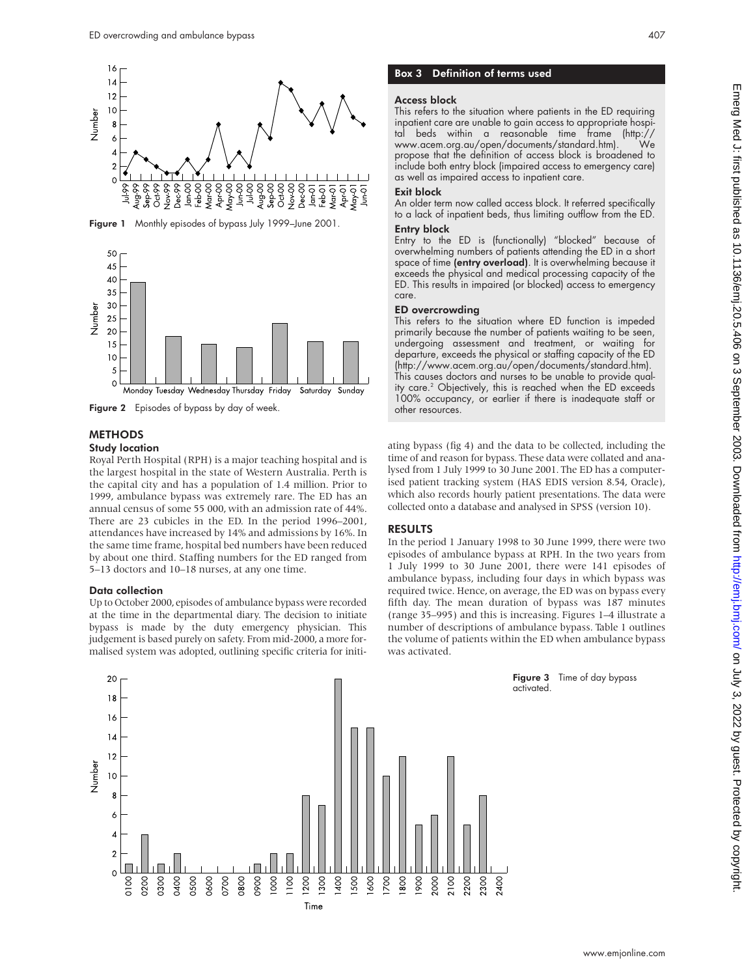

Figure 1 Monthly episodes of bypass July 1999–June 2001.



Figure 2 Episodes of bypass by day of week.

#### **METHODS**

#### Study location

Royal Perth Hospital (RPH) is a major teaching hospital and is the largest hospital in the state of Western Australia. Perth is the capital city and has a population of 1.4 million. Prior to 1999, ambulance bypass was extremely rare. The ED has an annual census of some 55 000, with an admission rate of 44%. There are 23 cubicles in the ED. In the period 1996–2001, attendances have increased by 14% and admissions by 16%. In the same time frame, hospital bed numbers have been reduced by about one third. Staffing numbers for the ED ranged from 5–13 doctors and 10–18 nurses, at any one time.

#### Data collection

Up to October 2000, episodes of ambulance bypass were recorded at the time in the departmental diary. The decision to initiate bypass is made by the duty emergency physician. This judgement is based purely on safety. From mid-2000, a more formalised system was adopted, outlining specific criteria for initi-

## Box 3 Definition of terms used

#### Access block

This refers to the situation where patients in the ED requiring inpatient care are unable to gain access to appropriate hospital beds within a reasonable time frame (http:// www.acem.org.au/open/documents/standard.htm). We propose that the definition of access block is broadened to include both entry block (impaired access to emergency care) as well as impaired access to inpatient care.

#### Exit block

An older term now called access block. It referred specifically to a lack of inpatient beds, thus limiting outflow from the ED. Entry block

Entry to the ED is (functionally) "blocked" because of overwhelming numbers of patients attending the ED in a short space of time (entry overload). It is overwhelming because it exceeds the physical and medical processing capacity of the ED. This results in impaired (or blocked) access to emergency care.

#### ED overcrowding

This refers to the situation where ED function is impeded primarily because the number of patients waiting to be seen, undergoing assessment and treatment, or waiting for departure, exceeds the physical or staffing capacity of the ED (http://www.acem.org.au/open/documents/standard.htm). This causes doctors and nurses to be unable to provide quality care.<sup>2</sup> Objectively, this is reached when the ED exceeds 100% occupancy, or earlier if there is inadequate staff or other resources.

ating bypass (fig 4) and the data to be collected, including the time of and reason for bypass. These data were collated and analysed from 1 July 1999 to 30 June 2001. The ED has a computerised patient tracking system (HAS EDIS version 8.54, Oracle), which also records hourly patient presentations. The data were collected onto a database and analysed in SPSS (version 10).

#### RESULTS

In the period 1 January 1998 to 30 June 1999, there were two episodes of ambulance bypass at RPH. In the two years from 1 July 1999 to 30 June 2001, there were 141 episodes of ambulance bypass, including four days in which bypass was required twice. Hence, on average, the ED was on bypass every fifth day. The mean duration of bypass was 187 minutes (range 35–995) and this is increasing. Figures 1–4 illustrate a number of descriptions of ambulance bypass. Table 1 outlines the volume of patients within the ED when ambulance bypass was activated.



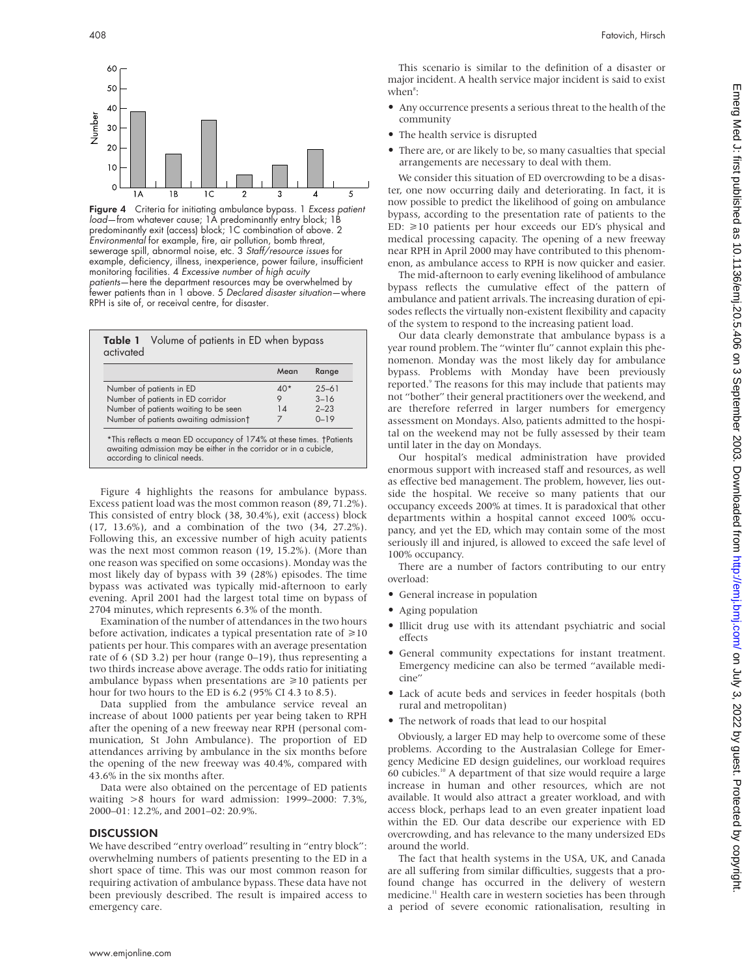

**Figure 4** Criteria for initiating ambulance bypass. 1 *Excess patient* load—from whatever cause; 1A predominantly entry block; 1B predominantly exit (access) block; 1C combination of above. 2 Environmental for example, fire, air pollution, bomb threat, sewerage spill, abnormal noise, etc. 3 Staff/resource issues for example, deficiency, illness, inexperience, power failure, insufficient monitoring facilities. 4 Excessive number of high acuity patients—here the department resources may be overwhelmed by fewer patients than in 1 above. 5 Declared disaster situation—where RPH is site of, or receival centre, for disaster.

|                                        | Mean  | Range     |
|----------------------------------------|-------|-----------|
| Number of patients in ED               | $40*$ | $25 - 61$ |
| Number of patients in ED corridor      | 9     | $3 - 16$  |
| Number of patients waiting to be seen  | 14    | $2 - 23$  |
| Number of patients awaiting admissiont | 7     | $0 - 19$  |

Figure 4 highlights the reasons for ambulance bypass. Excess patient load was the most common reason (89, 71.2%). This consisted of entry block (38, 30.4%), exit (access) block (17, 13.6%), and a combination of the two (34, 27.2%). Following this, an excessive number of high acuity patients was the next most common reason (19, 15.2%). (More than one reason was specified on some occasions). Monday was the most likely day of bypass with 39 (28%) episodes. The time bypass was activated was typically mid-afternoon to early evening. April 2001 had the largest total time on bypass of 2704 minutes, which represents 6.3% of the month.

Examination of the number of attendances in the two hours before activation, indicates a typical presentation rate of  $\geq 10$ patients per hour. This compares with an average presentation rate of 6 (SD 3.2) per hour (range 0–19), thus representing a two thirds increase above average. The odds ratio for initiating ambulance bypass when presentations are  $\geq 10$  patients per hour for two hours to the ED is 6.2 (95% CI 4.3 to 8.5).

Data supplied from the ambulance service reveal an increase of about 1000 patients per year being taken to RPH after the opening of a new freeway near RPH (personal communication, St John Ambulance). The proportion of ED attendances arriving by ambulance in the six months before the opening of the new freeway was 40.4%, compared with 43.6% in the six months after.

Data were also obtained on the percentage of ED patients waiting >8 hours for ward admission: 1999–2000: 7.3%, 2000–01: 12.2%, and 2001–02: 20.9%.

#### **DISCUSSION**

We have described "entry overload" resulting in "entry block": overwhelming numbers of patients presenting to the ED in a short space of time. This was our most common reason for requiring activation of ambulance bypass. These data have not been previously described. The result is impaired access to emergency care.

This scenario is similar to the definition of a disaster or major incident. A health service major incident is said to exist  $when<sup>s</sup>:$ 

- Any occurrence presents a serious threat to the health of the community
- The health service is disrupted
- There are, or are likely to be, so many casualties that special arrangements are necessary to deal with them.

We consider this situation of ED overcrowding to be a disaster, one now occurring daily and deteriorating. In fact, it is now possible to predict the likelihood of going on ambulance bypass, according to the presentation rate of patients to the ED:  $\geq 10$  patients per hour exceeds our ED's physical and medical processing capacity. The opening of a new freeway near RPH in April 2000 may have contributed to this phenomenon, as ambulance access to RPH is now quicker and easier.

The mid-afternoon to early evening likelihood of ambulance bypass reflects the cumulative effect of the pattern of ambulance and patient arrivals. The increasing duration of episodes reflects the virtually non-existent flexibility and capacity of the system to respond to the increasing patient load.

Our data clearly demonstrate that ambulance bypass is a year round problem. The "winter flu" cannot explain this phenomenon. Monday was the most likely day for ambulance bypass. Problems with Monday have been previously reported.<sup>9</sup> The reasons for this may include that patients may not "bother" their general practitioners over the weekend, and are therefore referred in larger numbers for emergency assessment on Mondays. Also, patients admitted to the hospital on the weekend may not be fully assessed by their team until later in the day on Mondays.

Our hospital's medical administration have provided enormous support with increased staff and resources, as well as effective bed management. The problem, however, lies outside the hospital. We receive so many patients that our occupancy exceeds 200% at times. It is paradoxical that other departments within a hospital cannot exceed 100% occupancy, and yet the ED, which may contain some of the most seriously ill and injured, is allowed to exceed the safe level of 100% occupancy.

There are a number of factors contributing to our entry overload:

- General increase in population
- Aging population
- Illicit drug use with its attendant psychiatric and social effects
- General community expectations for instant treatment. Emergency medicine can also be termed "available medicine"
- Lack of acute beds and services in feeder hospitals (both rural and metropolitan)
- The network of roads that lead to our hospital

Obviously, a larger ED may help to overcome some of these problems. According to the Australasian College for Emergency Medicine ED design guidelines, our workload requires 60 cubicles.10 A department of that size would require a large increase in human and other resources, which are not available. It would also attract a greater workload, and with access block, perhaps lead to an even greater inpatient load within the ED. Our data describe our experience with ED overcrowding, and has relevance to the many undersized EDs around the world.

The fact that health systems in the USA, UK, and Canada are all suffering from similar difficulties, suggests that a profound change has occurred in the delivery of western medicine.<sup>11</sup> Health care in western societies has been through a period of severe economic rationalisation, resulting in